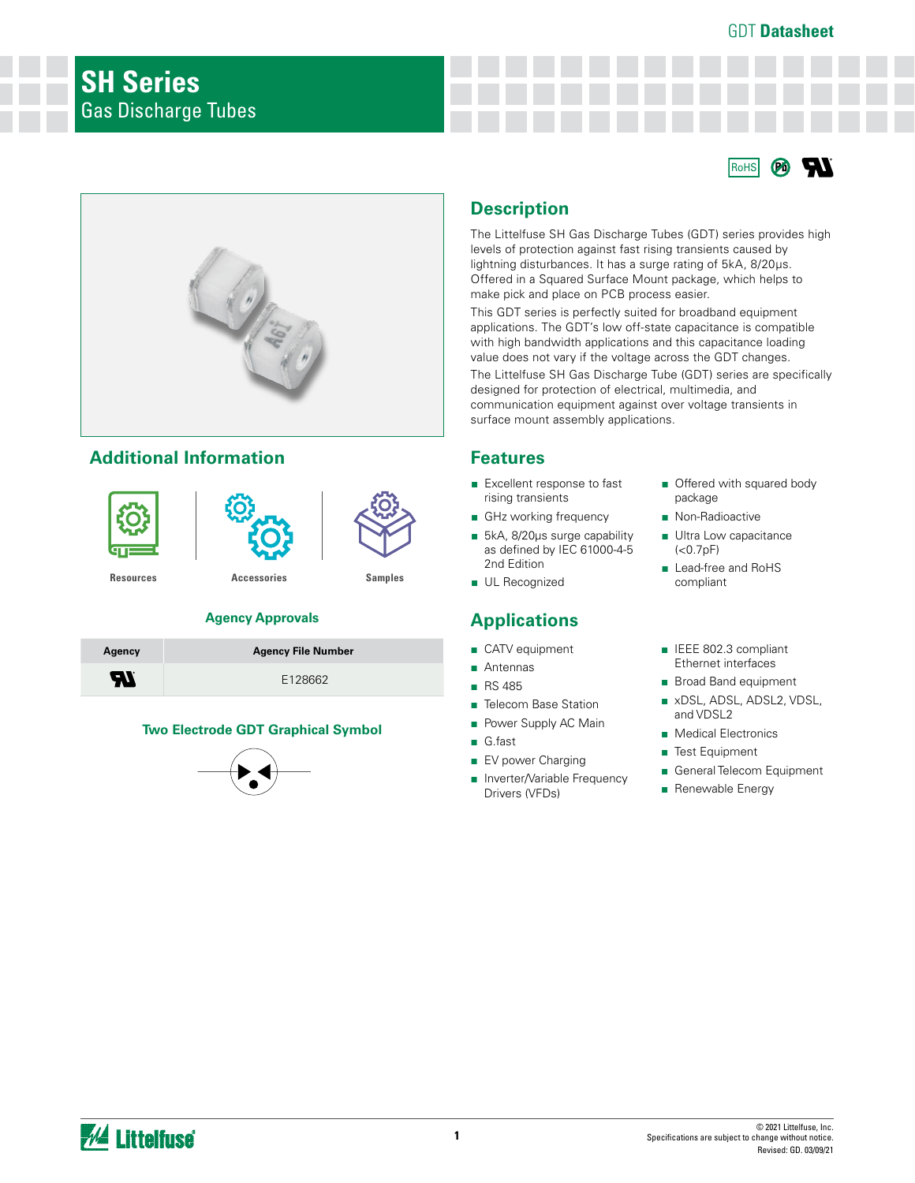### GDT **Datasheet**





## **Additional Information**



#### **Agency Approvals**

| Agency | <b>Agency File Number</b> |
|--------|---------------------------|
| Ж      | F128662                   |

#### **Two Electrode GDT Graphical Symbol**



## **Description**

The Littelfuse SH Gas Discharge Tubes (GDT) series provides high levels of protection against fast rising transients caused by lightning disturbances. It has a surge rating of 5kA, 8/20μs. Offered in a Squared Surface Mount package, which helps to make pick and place on PCB process easier.

This GDT series is perfectly suited for broadband equipment applications. The GDT's low off-state capacitance is compatible with high bandwidth applications and this capacitance loading value does not vary if the voltage across the GDT changes.

The Littelfuse SH Gas Discharge Tube (GDT) series are specifically designed for protection of electrical, multimedia, and communication equipment against over voltage transients in surface mount assembly applications.

### **Features**

- Excellent response to fast rising transients
- GHz working frequency
- 5kA, 8/20µs surge capability as defined by IEC 61000-4-5 2nd Edition
- UL Recognized

# **Applications**

- CATV equipment
- Antennas
- RS 485
- Telecom Base Station
- Power Supply AC Main
- G.fast
- EV power Charging
- Inverter/Variable Frequency Drivers (VFDs)
- Offered with squared body package
- Non-Radioactive
- Ultra Low capacitance  $(<0.7pF)$
- Lead-free and RoHS compliant
- IEEE 802.3 compliant Ethernet interfaces
- Broad Band equipment
- xDSL, ADSL, ADSL2, VDSL, and VDSL2
- Medical Electronics
- Test Equipment
- General Telecom Equipment
- Renewable Energy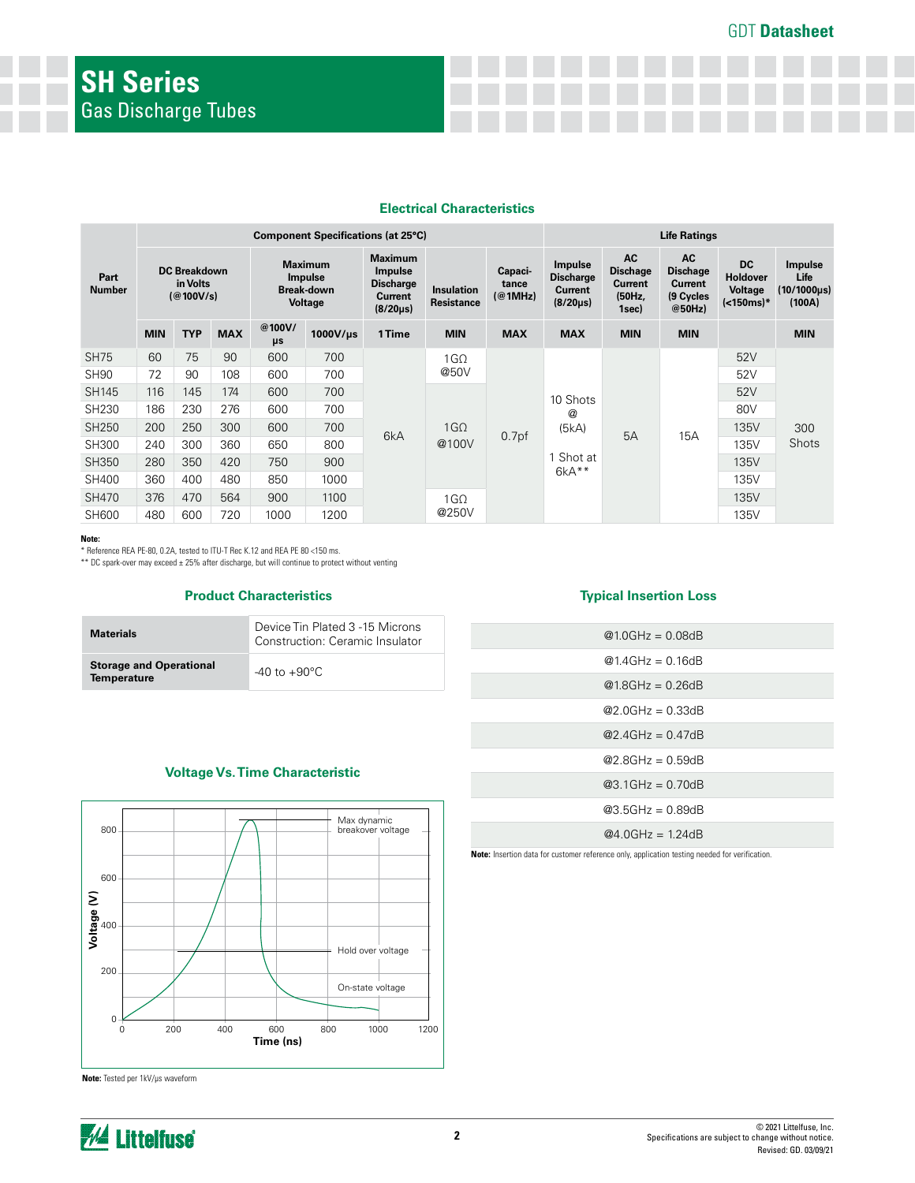### **Electrical Characteristics**

|                       | <b>Component Specifications (at 25°C)</b>    |            |            |                                                                         |                                                                                   |                                        |                             |                                                                 | <b>Life Ratings</b>                                               |                                                                       |                                                               |                                          |            |       |     |  |  |          |  |  |     |  |
|-----------------------|----------------------------------------------|------------|------------|-------------------------------------------------------------------------|-----------------------------------------------------------------------------------|----------------------------------------|-----------------------------|-----------------------------------------------------------------|-------------------------------------------------------------------|-----------------------------------------------------------------------|---------------------------------------------------------------|------------------------------------------|------------|-------|-----|--|--|----------|--|--|-----|--|
| Part<br><b>Number</b> | <b>DC Breakdown</b><br>in Volts<br>(Q100V/s) |            |            | <b>Maximum</b><br><b>Impulse</b><br><b>Break-down</b><br><b>Voltage</b> | <b>Maximum</b><br>Impulse<br><b>Discharge</b><br><b>Current</b><br>$(8/20 \mu s)$ | <b>Insulation</b><br><b>Resistance</b> | Capaci-<br>tance<br>(@1MHz) | Impulse<br><b>Discharge</b><br><b>Current</b><br>$(8/20 \mu s)$ | <b>AC</b><br><b>Dischage</b><br><b>Current</b><br>(50Hz,<br>1sec) | <b>AC</b><br><b>Dischage</b><br><b>Current</b><br>(9 Cycles<br>@50Hz) | <b>DC</b><br><b>Holdover</b><br><b>Voltage</b><br>$(<150ms)*$ | Impulse<br>Life<br>(10/1000µs)<br>(100A) |            |       |     |  |  |          |  |  |     |  |
|                       | <b>MIN</b>                                   | <b>TYP</b> | <b>MAX</b> | @100V/<br>μs                                                            | $1000$ V/µs                                                                       | 1 Time                                 | <b>MIN</b>                  | <b>MAX</b>                                                      | <b>MAX</b>                                                        | <b>MIN</b>                                                            | <b>MIN</b>                                                    |                                          | <b>MIN</b> |       |     |  |  |          |  |  |     |  |
| <b>SH75</b>           | 60                                           | 75         | 90         | 600                                                                     | 700                                                                               | 6kA                                    | $1G\Omega$                  |                                                                 |                                                                   |                                                                       |                                                               | 52V                                      |            |       |     |  |  |          |  |  |     |  |
| <b>SH90</b>           | 72                                           | 90         | 108        | 600                                                                     | 700                                                                               |                                        | @50V                        |                                                                 |                                                                   |                                                                       |                                                               | 52V                                      |            |       |     |  |  |          |  |  |     |  |
| SH145                 | 116                                          | 145        | 174        | 600                                                                     | 700                                                                               |                                        |                             |                                                                 |                                                                   |                                                                       |                                                               |                                          |            |       |     |  |  | 10 Shots |  |  | 52V |  |
| SH230                 | 186                                          | 230        | 276        | 600                                                                     | 700                                                                               |                                        |                             |                                                                 |                                                                   |                                                                       |                                                               |                                          |            |       |     |  |  |          |  |  | @   |  |
| <b>SH250</b>          | 200                                          | 250        | 300        | 600                                                                     | 700                                                                               |                                        |                             |                                                                 | $1G\Omega$                                                        |                                                                       | (5kA)                                                         | 5A                                       | 15A        | 135V  | 300 |  |  |          |  |  |     |  |
| SH300                 | 240                                          | 300        | 360        | 650                                                                     | 800                                                                               |                                        |                             | @100V                                                           | 0.7 <sub>pf</sub>                                                 |                                                                       |                                                               |                                          | 135V       | Shots |     |  |  |          |  |  |     |  |
| SH350                 | 280                                          | 350        | 420        | 750                                                                     | 900                                                                               |                                        |                             |                                                                 |                                                                   | Shot at                                                               |                                                               |                                          | 135V       |       |     |  |  |          |  |  |     |  |
| <b>SH400</b>          | 360                                          | 400        | 480        | 850                                                                     | 1000                                                                              |                                        |                             |                                                                 | $6kA**$                                                           |                                                                       |                                                               | 135V                                     |            |       |     |  |  |          |  |  |     |  |
| SH470                 | 376                                          | 470        | 564        | 900                                                                     | 1100                                                                              |                                        | 1G <sub>O</sub>             |                                                                 |                                                                   |                                                                       |                                                               | 135V                                     |            |       |     |  |  |          |  |  |     |  |
| SH600                 | 480                                          | 600        | 720        | 1000                                                                    | 1200                                                                              |                                        | @250V                       |                                                                 |                                                                   |                                                                       |                                                               | 135V                                     |            |       |     |  |  |          |  |  |     |  |

**Note:**

\* Reference REA PE-80, 0.2A, tested to ITU-T Rec K.12 and REA PE 80 <150 ms. \*\* DC spark-over may exceed ± 25% after discharge, but will continue to protect without venting

#### **Product Characteristics**

| <b>Materials</b>                                     | Device Tin Plated 3 -15 Microns<br>Construction: Ceramic Insulator |  |
|------------------------------------------------------|--------------------------------------------------------------------|--|
| <b>Storage and Operational</b><br><b>Temperature</b> | $-40$ to $+90^{\circ}$ C                                           |  |

#### **Typical Insertion Loss**

| $@1.0GHz = 0.08dB$ |  |
|--------------------|--|
| $@1.4GHz = 0.16dB$ |  |
| $@1.8GHz = 0.26dB$ |  |
| $@2.0GHz = 0.33dB$ |  |
| $@2.4GHz = 0.47dB$ |  |
| @2 8GHz = 0.59dB   |  |
| $@3.1GHz = 0.70dB$ |  |
| $@3.5GHz = 0.89dB$ |  |
| @4 $0$ GHz = 124dB |  |

**Note:** Insertion data for customer reference only, application testing needed for verification.

## **Voltage Vs. Time Characteristic**



**Note:** Tested per 1kV/µs waveform

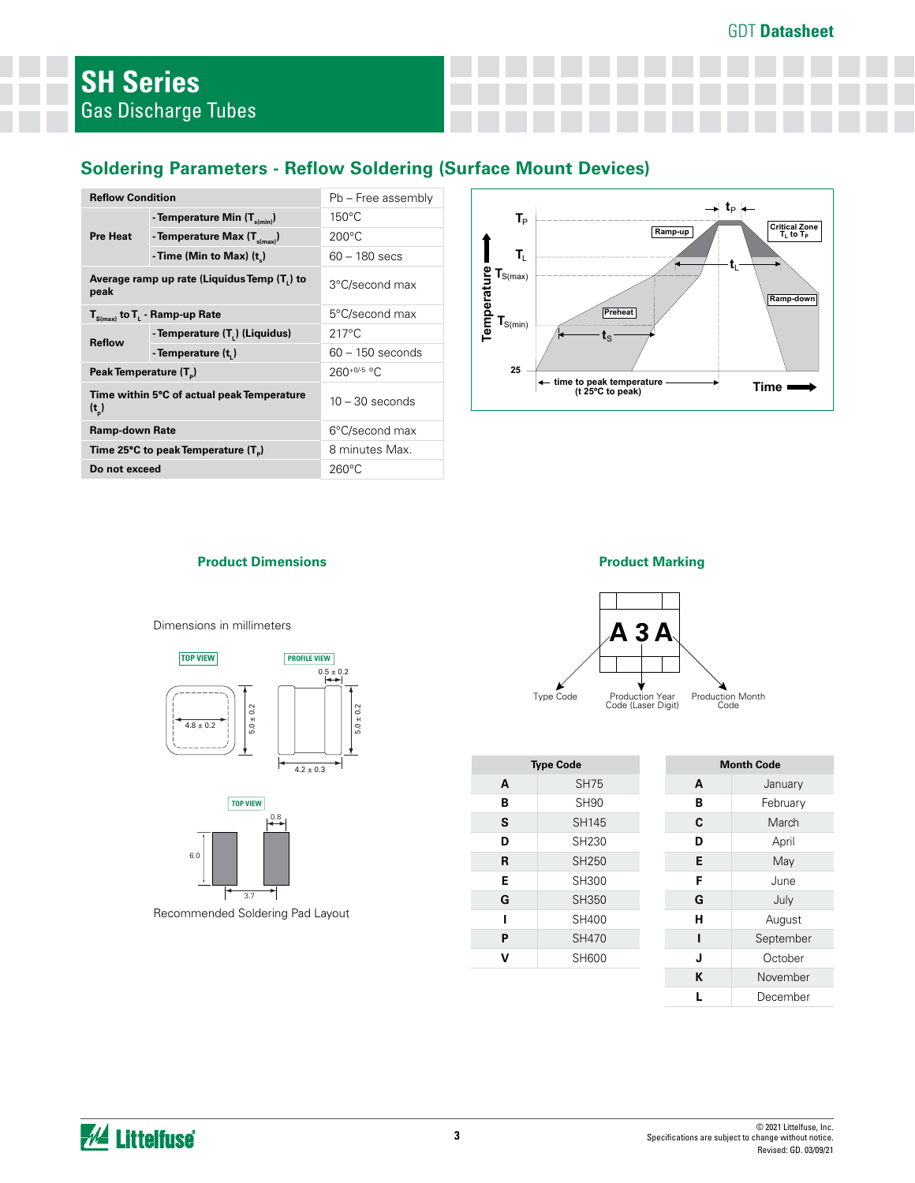# **Soldering Parameters - Reflow Soldering (Surface Mount Devices)**

| <b>Reflow Condition</b>            |                                                           | Pb - Free assembly |  |  |
|------------------------------------|-----------------------------------------------------------|--------------------|--|--|
| <b>Pre Heat</b>                    | - Temperature Min $(T_{s(min)})$                          | $150^{\circ}$ C    |  |  |
|                                    | - Temperature Max (T <sub>s(max)</sub> )                  | $200^{\circ}$ C    |  |  |
|                                    | - Time (Min to Max) $(t_*)$                               | $60 - 180$ secs    |  |  |
| peak                               | Average ramp up rate (Liquidus Temp (T,) to               | 3°C/second max     |  |  |
|                                    | $T_{S(max)}$ to $T_{L}$ - Ramp-up Rate                    | 5°C/second max     |  |  |
| <b>Reflow</b>                      | - Temperature (T.) (Liquidus)                             | $217^{\circ}$ C    |  |  |
|                                    | - Temperature (t,)                                        | $60 - 150$ seconds |  |  |
| Peak Temperature (T <sub>a</sub> ) |                                                           | $260^{+0/5}$ °C    |  |  |
| $(t_n)$                            | Time within 5°C of actual peak Temperature                | $10 - 30$ seconds  |  |  |
| Ramp-down Rate                     |                                                           | 6°C/second max     |  |  |
|                                    | Time 25 $\degree$ C to peak Temperature (T <sub>a</sub> ) | 8 minutes Max.     |  |  |
| Do not exceed                      |                                                           | $260^{\circ}$ C    |  |  |









|   | <b>Type Code</b> |   | <b>Month Code</b> |  |  |
|---|------------------|---|-------------------|--|--|
| A | <b>SH75</b>      | A | January           |  |  |
| В | <b>SH90</b>      | в | February          |  |  |
| S | <b>SH145</b>     | C | March             |  |  |
| D | SH230            | D | April             |  |  |
| R | SH250            | Е | May               |  |  |
| E | SH300            | F | June              |  |  |
| G | SH350            | G | July              |  |  |
|   | SH400            | н | August            |  |  |
| P | <b>SH470</b>     |   | September         |  |  |
| v | SH600            | J | October           |  |  |
|   |                  | K | November          |  |  |
|   |                  |   | December          |  |  |

**Product Dimensions Product Marking**